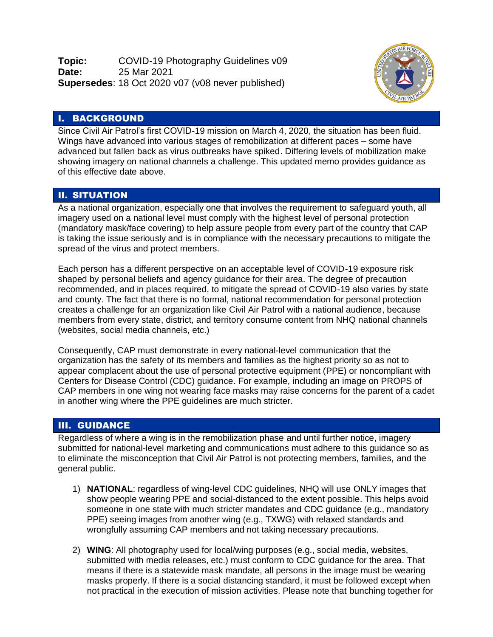**Topic:** COVID-19 Photography Guidelines v09 **Date:** 25 Mar 2021 **Supersedes**: 18 Oct 2020 v07 (v08 never published)



## I. BACKGROUND

Since Civil Air Patrol's first COVID-19 mission on March 4, 2020, the situation has been fluid. Wings have advanced into various stages of remobilization at different paces – some have advanced but fallen back as virus outbreaks have spiked. Differing levels of mobilization make showing imagery on national channels a challenge. This updated memo provides guidance as of this effective date above.

## II. SITUATION

As a national organization, especially one that involves the requirement to safeguard youth, all imagery used on a national level must comply with the highest level of personal protection (mandatory mask/face covering) to help assure people from every part of the country that CAP is taking the issue seriously and is in compliance with the necessary precautions to mitigate the spread of the virus and protect members.

Each person has a different perspective on an acceptable level of COVID-19 exposure risk shaped by personal beliefs and agency guidance for their area. The degree of precaution recommended, and in places required, to mitigate the spread of COVID-19 also varies by state and county. The fact that there is no formal, national recommendation for personal protection creates a challenge for an organization like Civil Air Patrol with a national audience, because members from every state, district, and territory consume content from NHQ national channels (websites, social media channels, etc.)

Consequently, CAP must demonstrate in every national-level communication that the organization has the safety of its members and families as the highest priority so as not to appear complacent about the use of personal protective equipment (PPE) or noncompliant with Centers for Disease Control (CDC) guidance. For example, including an image on PROPS of CAP members in one wing not wearing face masks may raise concerns for the parent of a cadet in another wing where the PPE guidelines are much stricter.

## III. GUIDANCE

Regardless of where a wing is in the remobilization phase and until further notice, imagery submitted for national-level marketing and communications must adhere to this guidance so as to eliminate the misconception that Civil Air Patrol is not protecting members, families, and the general public.

- 1) **NATIONAL**: regardless of wing-level CDC guidelines, NHQ will use ONLY images that show people wearing PPE and social-distanced to the extent possible. This helps avoid someone in one state with much stricter mandates and CDC guidance (e.g., mandatory PPE) seeing images from another wing (e.g., TXWG) with relaxed standards and wrongfully assuming CAP members and not taking necessary precautions.
- 2) **WING**: All photography used for local/wing purposes (e.g., social media, websites, submitted with media releases, etc.) must conform to CDC guidance for the area. That means if there is a statewide mask mandate, all persons in the image must be wearing masks properly. If there is a social distancing standard, it must be followed except when not practical in the execution of mission activities. Please note that bunching together for